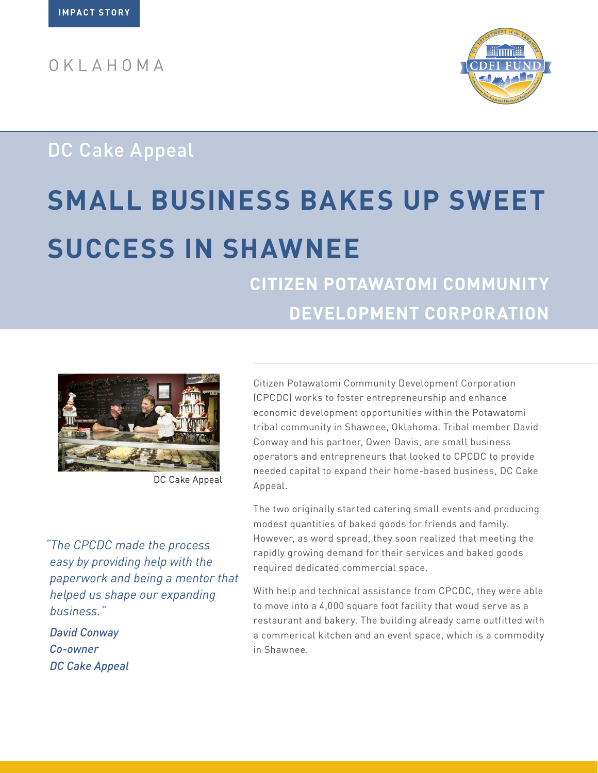OKLAHOMA



## DC Cake Appeal

# **SMALL BUSINESS BAKES UP SWEET SUCCESS IN SHAWNEE**

**CITIZEN POTAWATOMI COMMUNITY DEVELOPMENT CORPORATION**



DC Cake Appeal

*"The CPCDC made the process easy by providing help with the paperwork and being a mentor that helped us shape our expanding business."*

*David Conway Co-owner DC Cake Appeal* Citizen Potawatomi Community Development Corporation (CPCDC) works to foster entrepreneurship and enhance economic development opportunities within the Potawatomi tribal community in Shawnee, Oklahoma. Tribal member David Conway and his partner, Owen Davis, are small business operators and entrepreneurs that looked to CPCDC to provide needed capital to expand their home-based business, DC Cake Appeal.

The two originally started catering small events and producing modest quantities of baked goods for friends and family. However, as word spread, they soon realized that meeting the rapidly growing demand for their services and baked goods required dedicated commercial space.

With help and technical assistance from CPCDC, they were able to move into a 4,000 square foot facility that woud serve as a restaurant and bakery. The building already came outfitted with a commerical kitchen and an event space, which is a commodity in Shawnee.